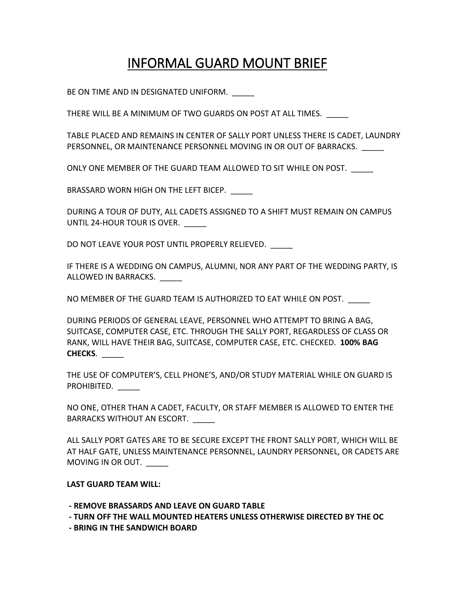## INFORMAL GUARD MOUNT BRIEF

BE ON TIME AND IN DESIGNATED UNIFORM.

THERE WILL BE A MINIMUM OF TWO GUARDS ON POST AT ALL TIMES.

TABLE PLACED AND REMAINS IN CENTER OF SALLY PORT UNLESS THERE IS CADET, LAUNDRY PERSONNEL, OR MAINTENANCE PERSONNEL MOVING IN OR OUT OF BARRACKS.

ONLY ONE MEMBER OF THE GUARD TEAM ALLOWED TO SIT WHILE ON POST. \_\_\_\_\_

BRASSARD WORN HIGH ON THE LEFT BICEP.

DURING A TOUR OF DUTY, ALL CADETS ASSIGNED TO A SHIFT MUST REMAIN ON CAMPUS UNTIL 24-HOUR TOUR IS OVER. \_\_\_\_\_

DO NOT LEAVE YOUR POST UNTIL PROPERLY RELIEVED.

IF THERE IS A WEDDING ON CAMPUS, ALUMNI, NOR ANY PART OF THE WEDDING PARTY, IS ALLOWED IN BARRACKS.

NO MEMBER OF THE GUARD TEAM IS AUTHORIZED TO EAT WHILE ON POST.

DURING PERIODS OF GENERAL LEAVE, PERSONNEL WHO ATTEMPT TO BRING A BAG, SUITCASE, COMPUTER CASE, ETC. THROUGH THE SALLY PORT, REGARDLESS OF CLASS OR RANK, WILL HAVE THEIR BAG, SUITCASE, COMPUTER CASE, ETC. CHECKED. **100% BAG CHECKS**. \_\_\_\_\_

THE USE OF COMPUTER'S, CELL PHONE'S, AND/OR STUDY MATERIAL WHILE ON GUARD IS PROHIBITED. \_\_\_\_\_

NO ONE, OTHER THAN A CADET, FACULTY, OR STAFF MEMBER IS ALLOWED TO ENTER THE BARRACKS WITHOUT AN ESCORT.

ALL SALLY PORT GATES ARE TO BE SECURE EXCEPT THE FRONT SALLY PORT, WHICH WILL BE AT HALF GATE, UNLESS MAINTENANCE PERSONNEL, LAUNDRY PERSONNEL, OR CADETS ARE MOVING IN OR OUT.

## **LAST GUARD TEAM WILL:**

**- REMOVE BRASSARDS AND LEAVE ON GUARD TABLE**

**- TURN OFF THE WALL MOUNTED HEATERS UNLESS OTHERWISE DIRECTED BY THE OC**

**- BRING IN THE SANDWICH BOARD**